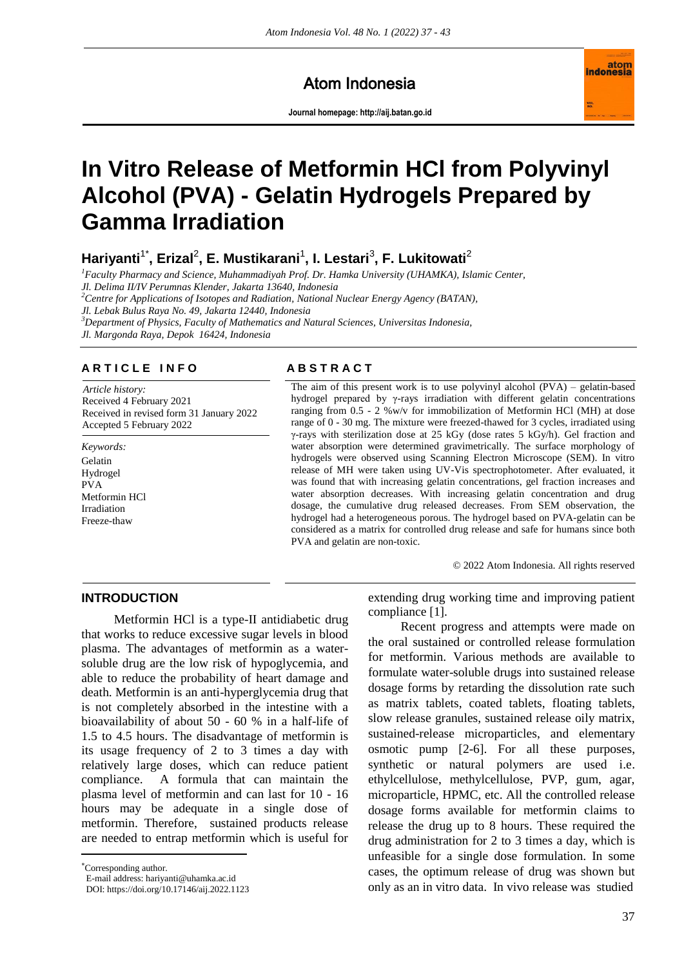# Atom Indonesia

**Journal homepage[: http://aij.batan.go.id](http://aij.batan.go.id/)**



# **In Vitro Release of Metformin HCl from Polyvinyl Alcohol (PVA) - Gelatin Hydrogels Prepared by Gamma Irradiation**

**Hariyanti**1\***, Erizal**<sup>2</sup> **, E. Mustikarani**<sup>1</sup> **, I. Lestari**<sup>3</sup> **, F. Lukitowati**<sup>2</sup>

*<sup>1</sup>Faculty Pharmacy and Science, Muhammadiyah Prof. Dr. Hamka University (UHAMKA), Islamic Center,* 

*Jl. Delima II/IV Perumnas Klender, Jakarta 13640, Indonesia*

*<sup>2</sup>Centre for Applications of Isotopes and Radiation, National Nuclear Energy Agency (BATAN),* 

*Jl. Lebak Bulus Raya No. 49, Jakarta 12440, Indonesia* 

*<sup>3</sup>Department of Physics, Faculty of Mathematics and Natural Sciences, Universitas Indonesia,* 

*Jl. Margonda Raya, Depok 16424, Indonesia*

#### **A R T I C L E I N F O A B S T R A C T**

*Article history:* Received 4 February 2021 Received in revised form 31 January 2022 Accepted 5 February 2022

*Keywords:* Gelatin Hydrogel PVA Metformin HCl Irradiation Freeze-thaw

The aim of this present work is to use polyvinyl alcohol (PVA) – gelatin-based hydrogel prepared by γ-rays irradiation with different gelatin concentrations ranging from 0.5 - 2 %w/v for immobilization of Metformin HCl (MH) at dose range of 0 - 30 mg. The mixture were freezed-thawed for 3 cycles, irradiated using γ-rays with sterilization dose at 25 kGy (dose rates 5 kGy/h). Gel fraction and water absorption were determined gravimetrically. The surface morphology of hydrogels were observed using Scanning Electron Microscope (SEM). In vitro release of MH were taken using UV-Vis spectrophotometer. After evaluated, it was found that with increasing gelatin concentrations, gel fraction increases and water absorption decreases. With increasing gelatin concentration and drug dosage, the cumulative drug released decreases. From SEM observation, the hydrogel had a heterogeneous porous. The hydrogel based on PVA-gelatin can be considered as a matrix for controlled drug release and safe for humans since both PVA and gelatin are non-toxic.

© 2022 Atom Indonesia. All rights reserved

## **INTRODUCTION**

Metformin HCl is a type-II antidiabetic drug that works to reduce excessive sugar levels in blood plasma. The advantages of metformin as a watersoluble drug are the low risk of hypoglycemia, and able to reduce the probability of heart damage and death. Metformin is an anti-hyperglycemia drug that is not completely absorbed in the intestine with a bioavailability of about 50 - 60 % in a half-life of 1.5 to 4.5 hours. The disadvantage of metformin is its usage frequency of 2 to 3 times a day with relatively large doses, which can reduce patient compliance. A formula that can maintain the plasma level of metformin and can last for 10 - 16 hours may be adequate in a single dose of metformin. Therefore, sustained products release are needed to entrap metformin which is useful for

Corresponding author.

 $\overline{a}$ 

E-mail address: hariyanti@uhamka.ac.id

extending drug working time and improving patient compliance [1].

Recent progress and attempts were made on the oral sustained or controlled release formulation for metformin. Various methods are available to formulate water-soluble drugs into sustained release dosage forms by retarding the dissolution rate such as matrix tablets, coated tablets, floating tablets, slow release granules, sustained release oily matrix, sustained-release microparticles, and elementary osmotic pump [2-6]. For all these purposes, synthetic or natural polymers are used i.e. ethylcellulose, methylcellulose, PVP, gum, agar, microparticle, HPMC, etc. All the controlled release dosage forms available for metformin claims to release the drug up to 8 hours. These required the drug administration for 2 to 3 times a day, which is unfeasible for a single dose formulation. In some cases, the optimum release of drug was shown but only as an in vitro data. In vivo release was studied

DOI: https://doi.org/10.17146/aij.2022.1123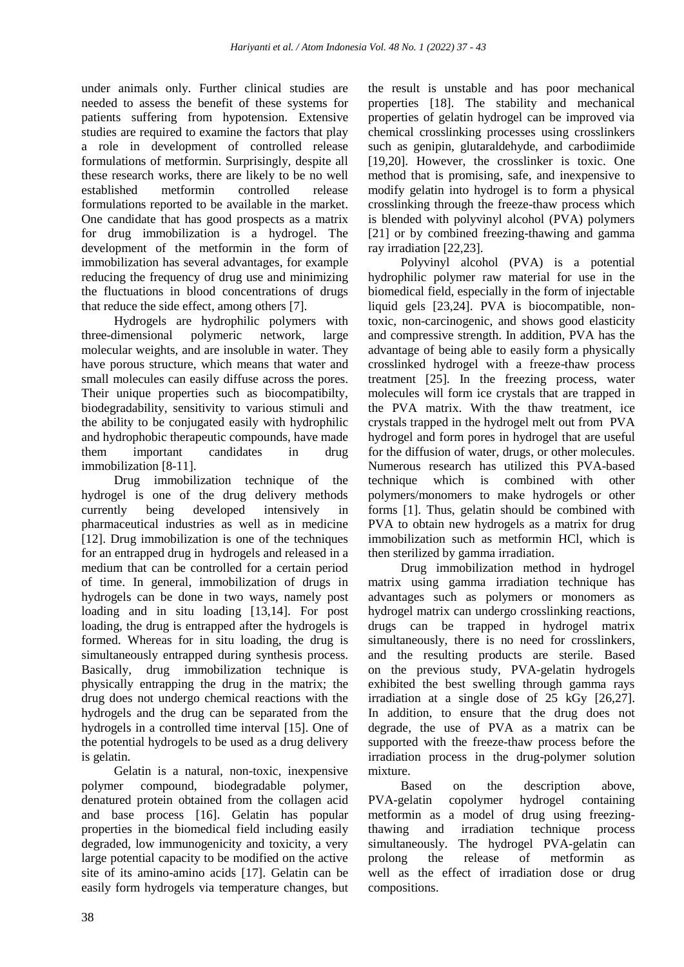under animals only. Further clinical studies are needed to assess the benefit of these systems for patients suffering from hypotension. Extensive studies are required to examine the factors that play a role in development of controlled release formulations of metformin. Surprisingly, despite all these research works, there are likely to be no well established metformin controlled release formulations reported to be available in the market. One candidate that has good prospects as a matrix for drug immobilization is a hydrogel. The development of the metformin in the form of immobilization has several advantages, for example reducing the frequency of drug use and minimizing the fluctuations in blood concentrations of drugs that reduce the side effect, among others [7].

Hydrogels are hydrophilic polymers with three-dimensional polymeric network, large molecular weights, and are insoluble in water. They have porous structure, which means that water and small molecules can easily diffuse across the pores. Their unique properties such as biocompatibilty, biodegradability, sensitivity to various stimuli and the ability to be conjugated easily with hydrophilic and hydrophobic therapeutic compounds, have made them important candidates in drug immobilization [8-11].

Drug immobilization technique of the hydrogel is one of the drug delivery methods currently being developed intensively in pharmaceutical industries as well as in medicine [12]. Drug immobilization is one of the techniques for an entrapped drug in hydrogels and released in a medium that can be controlled for a certain period of time. In general, immobilization of drugs in hydrogels can be done in two ways, namely post loading and in situ loading [13,14]. For post loading, the drug is entrapped after the hydrogels is formed. Whereas for in situ loading, the drug is simultaneously entrapped during synthesis process. Basically, drug immobilization technique is physically entrapping the drug in the matrix; the drug does not undergo chemical reactions with the hydrogels and the drug can be separated from the hydrogels in a controlled time interval [15]. One of the potential hydrogels to be used as a drug delivery is gelatin.

Gelatin is a natural, non-toxic, inexpensive polymer compound, biodegradable polymer, denatured protein obtained from the collagen acid and base process [16]. Gelatin has popular properties in the biomedical field including easily degraded, low immunogenicity and toxicity, a very large potential capacity to be modified on the active site of its amino-amino acids [17]. Gelatin can be easily form hydrogels via temperature changes, but the result is unstable and has poor mechanical properties [18]. The stability and mechanical properties of gelatin hydrogel can be improved via chemical crosslinking processes using crosslinkers such as genipin, glutaraldehyde, and carbodiimide [19,20]. However, the crosslinker is toxic. One method that is promising, safe, and inexpensive to modify gelatin into hydrogel is to form a physical crosslinking through the freeze-thaw process which is blended with polyvinyl alcohol (PVA) polymers [21] or by combined freezing-thawing and gamma ray irradiation [22,23].

Polyvinyl alcohol (PVA) is a potential hydrophilic polymer raw material for use in the biomedical field, especially in the form of injectable liquid gels [23,24]. PVA is biocompatible, nontoxic, non-carcinogenic, and shows good elasticity and compressive strength. In addition, PVA has the advantage of being able to easily form a physically crosslinked hydrogel with a freeze-thaw process treatment [25]. In the freezing process, water molecules will form ice crystals that are trapped in the PVA matrix. With the thaw treatment, ice crystals trapped in the hydrogel melt out from PVA hydrogel and form pores in hydrogel that are useful for the diffusion of water, drugs, or other molecules. Numerous research has utilized this PVA-based technique which is combined with other polymers/monomers to make hydrogels or other forms [1]. Thus, gelatin should be combined with PVA to obtain new hydrogels as a matrix for drug immobilization such as metformin HCl, which is then sterilized by gamma irradiation.

Drug immobilization method in hydrogel matrix using gamma irradiation technique has advantages such as polymers or monomers as hydrogel matrix can undergo crosslinking reactions, drugs can be trapped in hydrogel matrix simultaneously, there is no need for crosslinkers, and the resulting products are sterile. Based on the previous study, PVA-gelatin hydrogels exhibited the best swelling through gamma rays irradiation at a single dose of 25 kGy [26,27]. In addition, to ensure that the drug does not degrade, the use of PVA as a matrix can be supported with the freeze-thaw process before the irradiation process in the drug-polymer solution mixture.

Based on the description above, PVA-gelatin copolymer hydrogel containing metformin as a model of drug using freezingthawing and irradiation technique process simultaneously. The hydrogel PVA-gelatin can prolong the release of metformin as well as the effect of irradiation dose or drug compositions.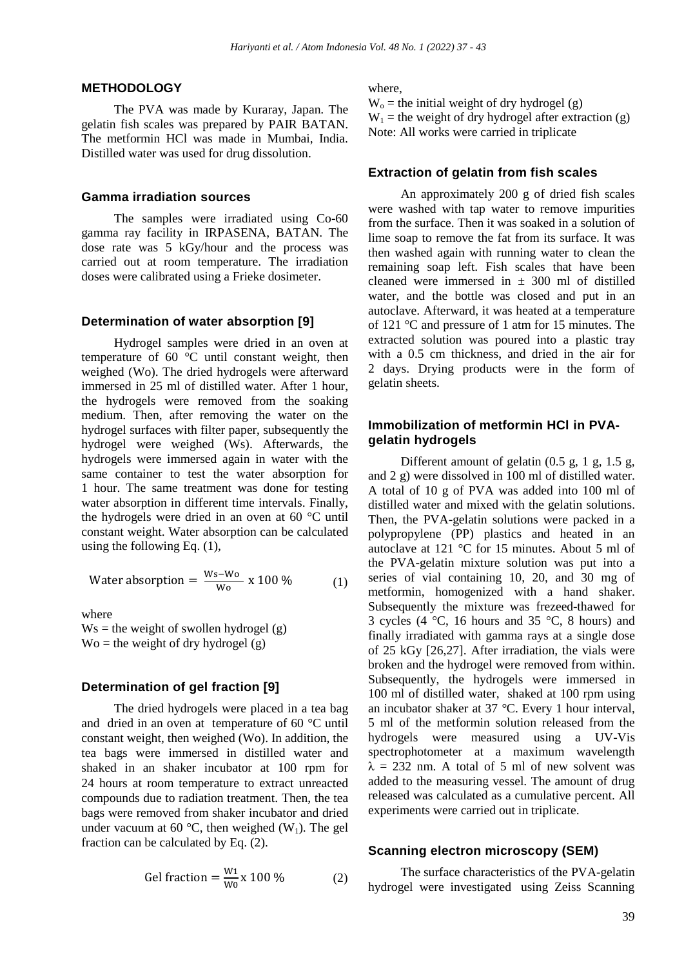#### **METHODOLOGY**

The PVA was made by Kuraray, Japan. The gelatin fish scales was prepared by PAIR BATAN. The metformin HCl was made in Mumbai, India. Distilled water was used for drug dissolution.

#### **Gamma irradiation sources**

The samples were irradiated using Co-60 gamma ray facility in IRPASENA, BATAN. The dose rate was 5 kGy/hour and the process was carried out at room temperature. The irradiation doses were calibrated using a Frieke dosimeter.

#### **Determination of water absorption [9]**

Hydrogel samples were dried in an oven at temperature of 60 °C until constant weight, then weighed (Wo). The dried hydrogels were afterward immersed in 25 ml of distilled water. After 1 hour, the hydrogels were removed from the soaking medium. Then, after removing the water on the hydrogel surfaces with filter paper, subsequently the hydrogel were weighed (Ws). Afterwards, the hydrogels were immersed again in water with the same container to test the water absorption for 1 hour. The same treatment was done for testing water absorption in different time intervals. Finally, the hydrogels were dried in an oven at 60 °C until constant weight. Water absorption can be calculated using the following Eq. (1),

Water absorption = 
$$
\frac{Ws-Wo}{Wo} \times 100\%
$$
 (1)

where

 $Ws$  = the weight of swollen hydrogel (g)  $\text{Wo} = \text{the weight of dry hydrogen (g)}$ 

#### **Determination of gel fraction [9]**

The dried hydrogels were placed in a tea bag and dried in an oven at temperature of 60 °C until constant weight, then weighed (Wo). In addition, the tea bags were immersed in distilled water and shaked in an shaker incubator at 100 rpm for 24 hours at room temperature to extract unreacted compounds due to radiation treatment. Then, the tea bags were removed from shaker incubator and dried under vacuum at 60 °C, then weighed  $(W_1)$ . The gel fraction can be calculated by Eq. (2).

$$
Gel fraction = \frac{W_1}{W_0} \times 100\% \tag{2}
$$

where,

 $W_0$  = the initial weight of dry hydrogel (g)  $W_1$  = the weight of dry hydrogel after extraction (g) Note: All works were carried in triplicate

#### **Extraction of gelatin from fish scales**

An approximately 200 g of dried fish scales were washed with tap water to remove impurities from the surface. Then it was soaked in a solution of lime soap to remove the fat from its surface. It was then washed again with running water to clean the remaining soap left. Fish scales that have been cleaned were immersed in  $\pm$  300 ml of distilled water, and the bottle was closed and put in an autoclave. Afterward, it was heated at a temperature of 121 °C and pressure of 1 atm for 15 minutes. The extracted solution was poured into a plastic tray with a 0.5 cm thickness, and dried in the air for 2 days. Drying products were in the form of gelatin sheets.

### **Immobilization of metformin HCl in PVAgelatin hydrogels**

Different amount of gelatin (0.5 g, 1 g, 1.5 g, and 2 g) were dissolved in 100 ml of distilled water. A total of 10 g of PVA was added into 100 ml of distilled water and mixed with the gelatin solutions. Then, the PVA-gelatin solutions were packed in a polypropylene (PP) plastics and heated in an autoclave at 121 °C for 15 minutes. About 5 ml of the PVA-gelatin mixture solution was put into a series of vial containing 10, 20, and 30 mg of metformin, homogenized with a hand shaker. Subsequently the mixture was frezeed-thawed for 3 cycles (4  $\degree$ C, 16 hours and 35  $\degree$ C, 8 hours) and finally irradiated with gamma rays at a single dose of 25 kGy [26,27]. After irradiation, the vials were broken and the hydrogel were removed from within. Subsequently, the hydrogels were immersed in 100 ml of distilled water, shaked at 100 rpm using an incubator shaker at 37 °C. Every 1 hour interval, 5 ml of the metformin solution released from the hydrogels were measured using a UV-Vis spectrophotometer at a maximum wavelength  $\lambda = 232$  nm. A total of 5 ml of new solvent was added to the measuring vessel. The amount of drug released was calculated as a cumulative percent. All experiments were carried out in triplicate.

#### **Scanning electron microscopy (SEM)**

The surface characteristics of the PVA-gelatin hydrogel were investigated using Zeiss Scanning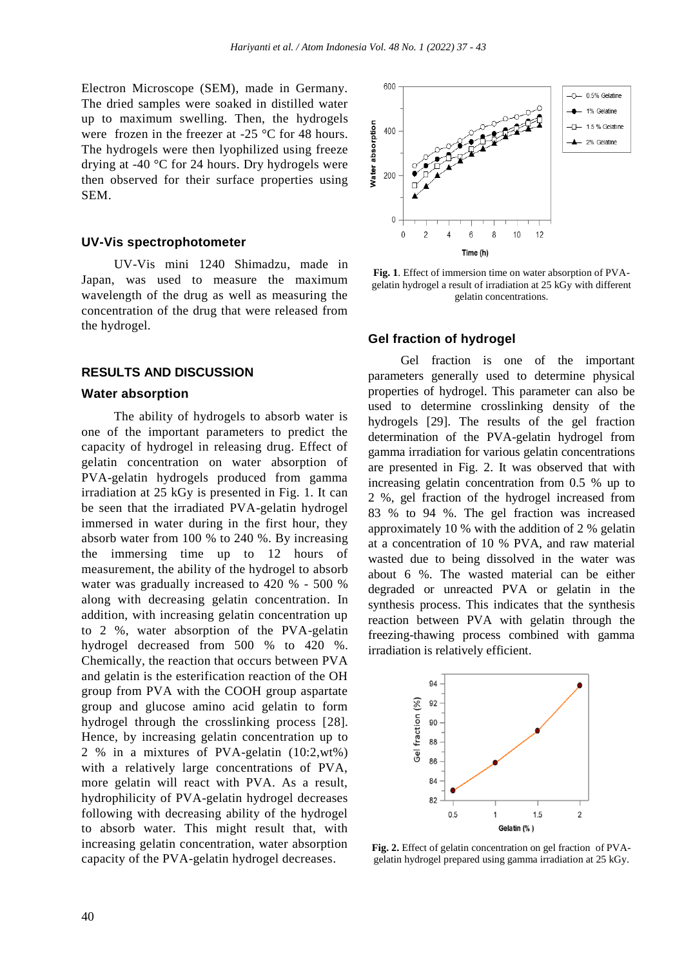Electron Microscope (SEM), made in Germany. The dried samples were soaked in distilled water up to maximum swelling. Then, the hydrogels were frozen in the freezer at -25 °C for 48 hours. The hydrogels were then lyophilized using freeze drying at -40 °C for 24 hours. Dry hydrogels were then observed for their surface properties using SEM.

#### **UV-Vis spectrophotometer**

UV-Vis mini 1240 Shimadzu, made in Japan, was used to measure the maximum wavelength of the drug as well as measuring the concentration of the drug that were released from the hydrogel.

#### **RESULTS AND DISCUSSION**

#### **Water absorption**

The ability of hydrogels to absorb water is one of the important parameters to predict the capacity of hydrogel in releasing drug. Effect of gelatin concentration on water absorption of PVA-gelatin hydrogels produced from gamma irradiation at 25 kGy is presented in Fig. 1. It can be seen that the irradiated PVA-gelatin hydrogel immersed in water during in the first hour, they absorb water from 100 % to 240 %. By increasing the immersing time up to 12 hours of measurement, the ability of the hydrogel to absorb water was gradually increased to 420 % - 500 % along with decreasing gelatin concentration. In addition, with increasing gelatin concentration up to 2 %, water absorption of the PVA-gelatin hydrogel decreased from 500 % to 420 %. Chemically, the reaction that occurs between PVA and gelatin is the esterification reaction of the OH group from PVA with the COOH group aspartate group and glucose amino acid gelatin to form hydrogel through the crosslinking process [28]. Hence, by increasing gelatin concentration up to 2 % in a mixtures of PVA-gelatin (10:2,wt%) with a relatively large concentrations of PVA, more gelatin will react with PVA. As a result, hydrophilicity of PVA-gelatin hydrogel decreases following with decreasing ability of the hydrogel to absorb water. This might result that, with increasing gelatin concentration, water absorption capacity of the PVA-gelatin hydrogel decreases.



**Fig. 1**. Effect of immersion time on water absorption of PVAgelatin hydrogel a result of irradiation at 25 kGy with different gelatin concentrations.

#### **Gel fraction of hydrogel**

Gel fraction is one of the important parameters generally used to determine physical properties of hydrogel. This parameter can also be used to determine crosslinking density of the hydrogels [29]. The results of the gel fraction determination of the PVA-gelatin hydrogel from gamma irradiation for various gelatin concentrations are presented in Fig. 2. It was observed that with increasing gelatin concentration from 0.5 % up to 2 %, gel fraction of the hydrogel increased from 83 % to 94 %. The gel fraction was increased approximately 10 % with the addition of 2 % gelatin at a concentration of 10 % PVA, and raw material wasted due to being dissolved in the water was about 6 %. The wasted material can be either degraded or unreacted PVA or gelatin in the synthesis process. This indicates that the synthesis reaction between PVA with gelatin through the freezing-thawing process combined with gamma irradiation is relatively efficient.



**Fig. 2.** Effect of gelatin concentration on gel fraction of PVAgelatin hydrogel prepared using gamma irradiation at 25 kGy.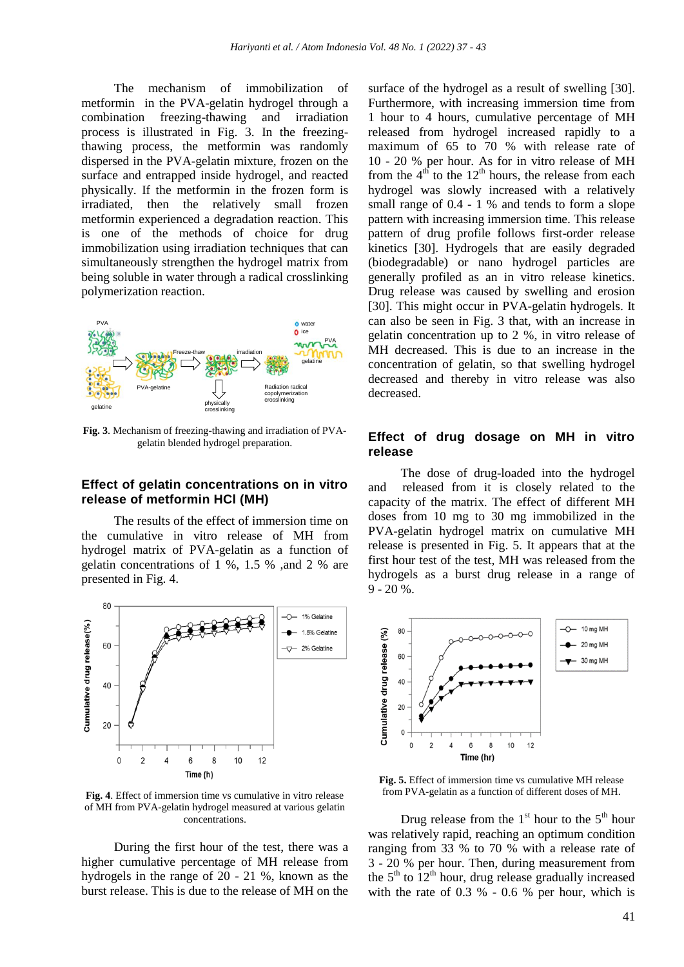The mechanism of immobilization of metformin in the PVA-gelatin hydrogel through a combination freezing-thawing and irradiation process is illustrated in Fig. 3. In the freezingthawing process, the metformin was randomly dispersed in the PVA-gelatin mixture, frozen on the surface and entrapped inside hydrogel, and reacted physically. If the metformin in the frozen form is irradiated, then the relatively small frozen metformin experienced a degradation reaction. This is one of the methods of choice for drug immobilization using irradiation techniques that can simultaneously strengthen the hydrogel matrix from being soluble in water through a radical crosslinking polymerization reaction.



**Fig. 3**. Mechanism of freezing-thawing and irradiation of PVAgelatin blended hydrogel preparation.

#### **Effect of gelatin concentrations on in vitro release of metformin HCl (MH)**

The results of the effect of immersion time on the cumulative in vitro release of MH from hydrogel matrix of PVA-gelatin as a function of gelatin concentrations of 1 %, 1.5 % ,and 2 % are presented in Fig. 4.



**Fig. 4**. Effect of immersion time vs cumulative in vitro release of MH from PVA-gelatin hydrogel measured at various gelatin concentrations.

During the first hour of the test, there was a higher cumulative percentage of MH release from hydrogels in the range of 20 - 21 %, known as the burst release. This is due to the release of MH on the

surface of the hydrogel as a result of swelling [30]. Furthermore, with increasing immersion time from 1 hour to 4 hours, cumulative percentage of MH released from hydrogel increased rapidly to a maximum of 65 to 70 % with release rate of 10 - 20 % per hour. As for in vitro release of MH from the  $4<sup>th</sup>$  to the 12<sup>th</sup> hours, the release from each hydrogel was slowly increased with a relatively small range of  $0.4 - 1$  % and tends to form a slope pattern with increasing immersion time. This release pattern of drug profile follows first-order release kinetics [30]. Hydrogels that are easily degraded (biodegradable) or nano hydrogel particles are generally profiled as an in vitro release kinetics. Drug release was caused by swelling and erosion [30]. This might occur in PVA-gelatin hydrogels. It can also be seen in Fig. 3 that, with an increase in gelatin concentration up to 2 %, in vitro release of MH decreased. This is due to an increase in the concentration of gelatin, so that swelling hydrogel decreased and thereby in vitro release was also decreased.

#### **Effect of drug dosage on MH in vitro release**

The dose of drug-loaded into the hydrogel and released from it is closely related to the capacity of the matrix. The effect of different MH doses from 10 mg to 30 mg immobilized in the PVA-gelatin hydrogel matrix on cumulative MH release is presented in Fig. 5. It appears that at the first hour test of the test, MH was released from the hydrogels as a burst drug release in a range of 9 - 20 %.



**Fig. 5.** Effect of immersion time vs cumulative MH release from PVA-gelatin as a function of different doses of MH.

Drug release from the  $1<sup>st</sup>$  hour to the  $5<sup>th</sup>$  hour was relatively rapid, reaching an optimum condition ranging from 33 % to 70 % with a release rate of 3 - 20 % per hour. Then, during measurement from the  $5<sup>th</sup>$  to  $12<sup>th</sup>$  hour, drug release gradually increased with the rate of 0.3 % - 0.6 % per hour, which is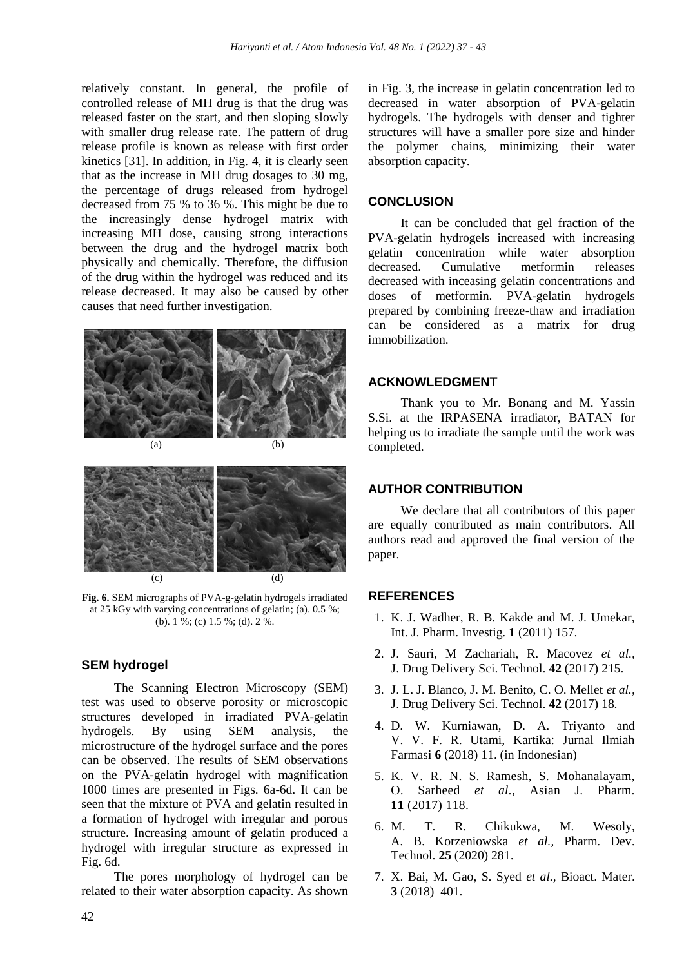relatively constant. In general, the profile of controlled release of MH drug is that the drug was released faster on the start, and then sloping slowly with smaller drug release rate. The pattern of drug release profile is known as release with first order kinetics [31]. In addition, in Fig. 4, it is clearly seen that as the increase in MH drug dosages to 30 mg, the percentage of drugs released from hydrogel decreased from 75 % to 36 %. This might be due to the increasingly dense hydrogel matrix with increasing MH dose, causing strong interactions between the drug and the hydrogel matrix both physically and chemically. Therefore, the diffusion of the drug within the hydrogel was reduced and its release decreased. It may also be caused by other causes that need further investigation.





**Fig. 6.** SEM micrographs of PVA-g-gelatin hydrogels irradiated at 25 kGy with varying concentrations of gelatin; (a). 0.5 %; (b). 1 %; (c) 1.5 %; (d). 2 %.

#### **SEM hydrogel**

The Scanning Electron Microscopy (SEM) test was used to observe porosity or microscopic structures developed in irradiated PVA-gelatin hydrogels. By using SEM analysis, the microstructure of the hydrogel surface and the pores can be observed. The results of SEM observations on the PVA-gelatin hydrogel with magnification 1000 times are presented in Figs. 6a-6d. It can be seen that the mixture of PVA and gelatin resulted in a formation of hydrogel with irregular and porous structure. Increasing amount of gelatin produced a hydrogel with irregular structure as expressed in Fig. 6d.

The pores morphology of hydrogel can be related to their water absorption capacity. As shown

in Fig. 3, the increase in gelatin concentration led to decreased in water absorption of PVA-gelatin hydrogels. The hydrogels with denser and tighter structures will have a smaller pore size and hinder the polymer chains, minimizing their water absorption capacity.

#### **CONCLUSION**

It can be concluded that gel fraction of the PVA-gelatin hydrogels increased with increasing gelatin concentration while water absorption decreased. Cumulative metformin releases decreased with inceasing gelatin concentrations and doses of metformin. PVA-gelatin hydrogels prepared by combining freeze-thaw and irradiation can be considered as a matrix for drug immobilization.

#### **ACKNOWLEDGMENT**

Thank you to Mr. Bonang and M. Yassin S.Si. at the IRPASENA irradiator, BATAN for helping us to irradiate the sample until the work was completed.

# **AUTHOR CONTRIBUTION**

We declare that all contributors of this paper are equally contributed as main contributors. All authors read and approved the final version of the paper.

#### **REFERENCES**

- 1. K. J. Wadher, R. B. Kakde and M. J. Umekar, Int. J. Pharm. Investig. **1** (2011) 157.
- 2. J. Sauri, M Zachariah, R. Macovez *et al.,* J. Drug Delivery Sci. Technol. **42** (2017) 215.
- 3. J. L. J. Blanco, J. M. Benito, C. O. Mellet *et al.,* J. Drug Delivery Sci. Technol. **42** (2017) 18.
- 4. D. W. Kurniawan, D. A. Triyanto and V. V. F. R. Utami, Kartika: Jurnal Ilmiah Farmasi **6** (2018) 11. (in Indonesian)
- 5. K. V. R. N. S. Ramesh, S. Mohanalayam, O. Sarheed *et al.,* Asian J. Pharm. **11** (2017) 118.
- 6. M. T. R. Chikukwa, M. Wesoly, A. B. Korzeniowska *et al.,* Pharm. Dev. Technol. **25** (2020) 281.
- 7. X. Bai, M. Gao, S. Syed *et al.,* Bioact. Mater. **3** (2018) 401.